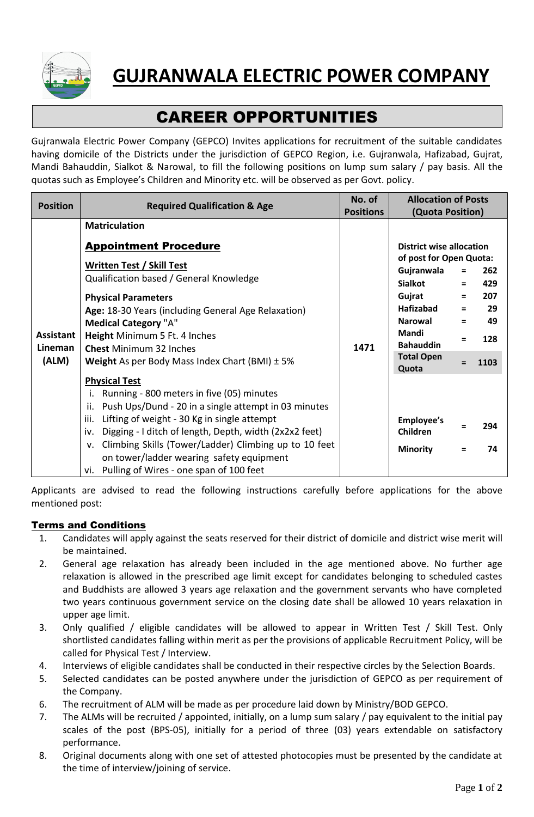

# CAREER OPPORTUNITIES

Gujranwala Electric Power Company (GEPCO) Invites applications for recruitment of the suitable candidates having domicile of the Districts under the jurisdiction of GEPCO Region, i.e. Gujranwala, Hafizabad, Gujrat, Mandi Bahauddin, Sialkot & Narowal, to fill the following positions on lump sum salary / pay basis. All the quotas such as Employee's Children and Minority etc. will be observed as per Govt. policy.

| <b>Position</b>                      | <b>Required Qualification &amp; Age</b>                                                                                                                                                                                                                                                                                                                                                                               | No. of           | <b>Allocation of Posts</b>                                                                                                                                                                     |                                                   |                                              |
|--------------------------------------|-----------------------------------------------------------------------------------------------------------------------------------------------------------------------------------------------------------------------------------------------------------------------------------------------------------------------------------------------------------------------------------------------------------------------|------------------|------------------------------------------------------------------------------------------------------------------------------------------------------------------------------------------------|---------------------------------------------------|----------------------------------------------|
|                                      |                                                                                                                                                                                                                                                                                                                                                                                                                       | <b>Positions</b> |                                                                                                                                                                                                | (Quota Position)                                  |                                              |
|                                      | <b>Matriculation</b>                                                                                                                                                                                                                                                                                                                                                                                                  |                  |                                                                                                                                                                                                |                                                   |                                              |
| <b>Assistant</b><br>Lineman<br>(ALM) | <b>Appointment Procedure</b><br><b>Written Test / Skill Test</b><br>Qualification based / General Knowledge<br><b>Physical Parameters</b><br>Age: 18-30 Years (including General Age Relaxation)<br><b>Medical Category "A"</b><br>Height Minimum 5 Ft. 4 Inches<br><b>Chest Minimum 32 Inches</b><br><b>Weight</b> As per Body Mass Index Chart (BMI) $\pm$ 5%                                                       | 1471             | <b>District wise allocation</b><br>of post for Open Quota:<br>Gujranwala<br><b>Sialkot</b><br>Gujrat<br>Hafizabad<br><b>Narowal</b><br>Mandi<br><b>Bahauddin</b><br><b>Total Open</b><br>Quota | $\equiv$<br>$\equiv$<br>$=$<br>$\equiv$<br>Ξ<br>Ξ | 262<br>429<br>207<br>29<br>49<br>128<br>1103 |
|                                      | <b>Physical Test</b><br>Running - 800 meters in five (05) minutes<br>i.<br>Push Ups/Dund - 20 in a single attempt in 03 minutes<br>ii.<br>iii.<br>Lifting of weight - 30 Kg in single attempt<br>Digging - I ditch of length, Depth, width (2x2x2 feet)<br>iv.<br>v. Climbing Skills (Tower/Ladder) Climbing up to 10 feet<br>on tower/ladder wearing safety equipment<br>vi. Pulling of Wires - one span of 100 feet |                  | <b>Employee's</b><br><b>Children</b><br><b>Minority</b>                                                                                                                                        | Ξ                                                 | 294<br>74                                    |

Applicants are advised to read the following instructions carefully before applications for the above mentioned post:

## Terms and Conditions

- 1. Candidates will apply against the seats reserved for their district of domicile and district wise merit will be maintained.
- 2. General age relaxation has already been included in the age mentioned above. No further age relaxation is allowed in the prescribed age limit except for candidates belonging to scheduled castes and Buddhists are allowed 3 years age relaxation and the government servants who have completed two years continuous government service on the closing date shall be allowed 10 years relaxation in upper age limit.
- 3. Only qualified / eligible candidates will be allowed to appear in Written Test / Skill Test. Only shortlisted candidates falling within merit as per the provisions of applicable Recruitment Policy, will be called for Physical Test / Interview.
- 4. Interviews of eligible candidates shall be conducted in their respective circles by the Selection Boards.
- 5. Selected candidates can be posted anywhere under the jurisdiction of GEPCO as per requirement of the Company.
- 6. The recruitment of ALM will be made as per procedure laid down by Ministry/BOD GEPCO.
- 7. The ALMs will be recruited / appointed, initially, on a lump sum salary / pay equivalent to the initial pay scales of the post (BPS-05), initially for a period of three (03) years extendable on satisfactory performance.
- 8. Original documents along with one set of attested photocopies must be presented by the candidate at the time of interview/joining of service.